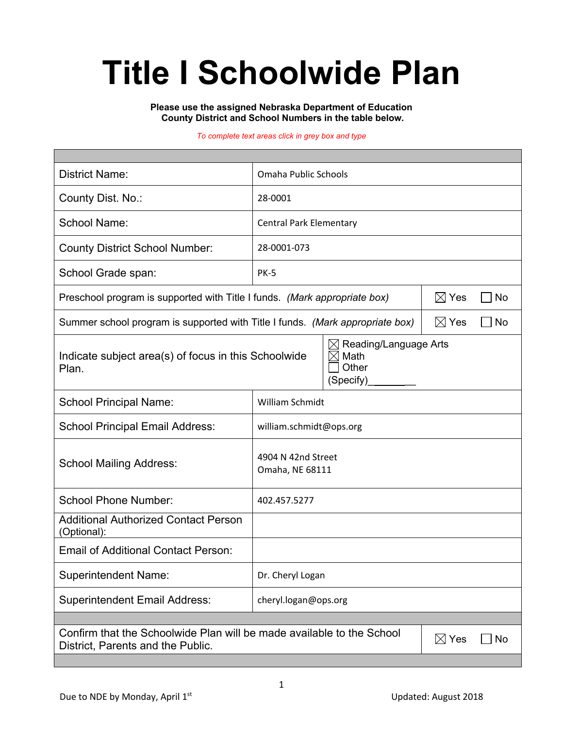# **Title I Schoolwide Plan**

**Please use the assigned Nebraska Department of Education County District and School Numbers in the table below.**

#### *To complete text areas click in grey box and type*

| <b>District Name:</b>                                                                                                               | Omaha Public Schools                                                  |                         |  |  |  |  |
|-------------------------------------------------------------------------------------------------------------------------------------|-----------------------------------------------------------------------|-------------------------|--|--|--|--|
| County Dist. No.:                                                                                                                   | 28-0001                                                               |                         |  |  |  |  |
| <b>School Name:</b>                                                                                                                 | <b>Central Park Elementary</b>                                        |                         |  |  |  |  |
| <b>County District School Number:</b>                                                                                               | 28-0001-073                                                           |                         |  |  |  |  |
| School Grade span:                                                                                                                  | <b>PK-5</b>                                                           |                         |  |  |  |  |
| Preschool program is supported with Title I funds. (Mark appropriate box)                                                           | $\boxtimes$ Yes<br><b>No</b>                                          |                         |  |  |  |  |
| Summer school program is supported with Title I funds. (Mark appropriate box)                                                       |                                                                       | $\boxtimes$ Yes<br>  No |  |  |  |  |
| Indicate subject area(s) of focus in this Schoolwide<br>Plan.                                                                       | Reading/Language Arts<br>$\times$<br>Math<br>IX<br>Other<br>(Specify) |                         |  |  |  |  |
| <b>School Principal Name:</b>                                                                                                       | William Schmidt                                                       |                         |  |  |  |  |
| <b>School Principal Email Address:</b>                                                                                              | william.schmidt@ops.org                                               |                         |  |  |  |  |
| <b>School Mailing Address:</b>                                                                                                      | 4904 N 42nd Street<br>Omaha, NE 68111                                 |                         |  |  |  |  |
| <b>School Phone Number:</b>                                                                                                         | 402.457.5277                                                          |                         |  |  |  |  |
| <b>Additional Authorized Contact Person</b><br>(Optional):                                                                          |                                                                       |                         |  |  |  |  |
| <b>Email of Additional Contact Person:</b>                                                                                          |                                                                       |                         |  |  |  |  |
| <b>Superintendent Name:</b>                                                                                                         | Dr. Cheryl Logan                                                      |                         |  |  |  |  |
| <b>Superintendent Email Address:</b>                                                                                                | cheryl.logan@ops.org                                                  |                         |  |  |  |  |
|                                                                                                                                     |                                                                       |                         |  |  |  |  |
| Confirm that the Schoolwide Plan will be made available to the School<br>$\boxtimes$ Yes<br>No<br>District, Parents and the Public. |                                                                       |                         |  |  |  |  |
|                                                                                                                                     |                                                                       |                         |  |  |  |  |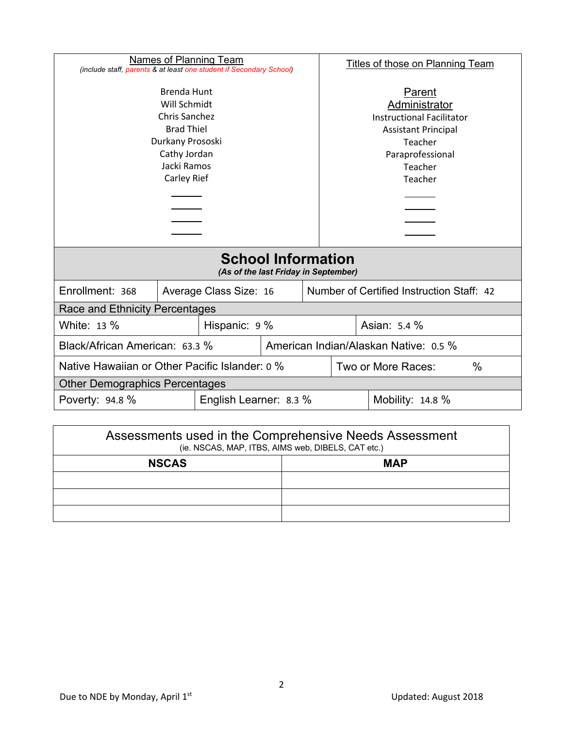| Names of Planning Team<br>(include staff, parents & at least one student if Secondary School)                                                            |                        |                        |                                                                                                                                                | <b>Titles of those on Planning Team</b>   |  |  |  |
|----------------------------------------------------------------------------------------------------------------------------------------------------------|------------------------|------------------------|------------------------------------------------------------------------------------------------------------------------------------------------|-------------------------------------------|--|--|--|
| <b>Brenda Hunt</b><br>Will Schmidt<br><b>Chris Sanchez</b><br><b>Brad Thiel</b><br>Durkany Prososki<br>Cathy Jordan<br>Jacki Ramos<br><b>Carley Rief</b> |                        |                        | Parent<br>Administrator<br><b>Instructional Facilitator</b><br><b>Assistant Principal</b><br>Teacher<br>Paraprofessional<br>Teacher<br>Teacher |                                           |  |  |  |
| <b>School Information</b><br>(As of the last Friday in September)                                                                                        |                        |                        |                                                                                                                                                |                                           |  |  |  |
| Enrollment: 368                                                                                                                                          |                        | Average Class Size: 16 |                                                                                                                                                | Number of Certified Instruction Staff: 42 |  |  |  |
| Race and Ethnicity Percentages                                                                                                                           |                        |                        |                                                                                                                                                |                                           |  |  |  |
| White: 13 %                                                                                                                                              | Hispanic: 9 %          |                        |                                                                                                                                                | Asian: 5.4 %                              |  |  |  |
| Black/African American: 63.3 %                                                                                                                           |                        |                        |                                                                                                                                                | American Indian/Alaskan Native: 0.5 %     |  |  |  |
| Native Hawaiian or Other Pacific Islander: 0 %                                                                                                           |                        |                        | Two or More Races:<br>$\frac{0}{0}$                                                                                                            |                                           |  |  |  |
| <b>Other Demographics Percentages</b>                                                                                                                    |                        |                        |                                                                                                                                                |                                           |  |  |  |
| Poverty: 94.8 %                                                                                                                                          | English Learner: 8.3 % |                        |                                                                                                                                                | Mobility: $14.8\%$                        |  |  |  |

| Assessments used in the Comprehensive Needs Assessment<br>(ie. NSCAS, MAP, ITBS, AIMS web, DIBELS, CAT etc.) |            |  |  |  |
|--------------------------------------------------------------------------------------------------------------|------------|--|--|--|
| <b>NSCAS</b>                                                                                                 | <b>MAP</b> |  |  |  |
|                                                                                                              |            |  |  |  |
|                                                                                                              |            |  |  |  |
|                                                                                                              |            |  |  |  |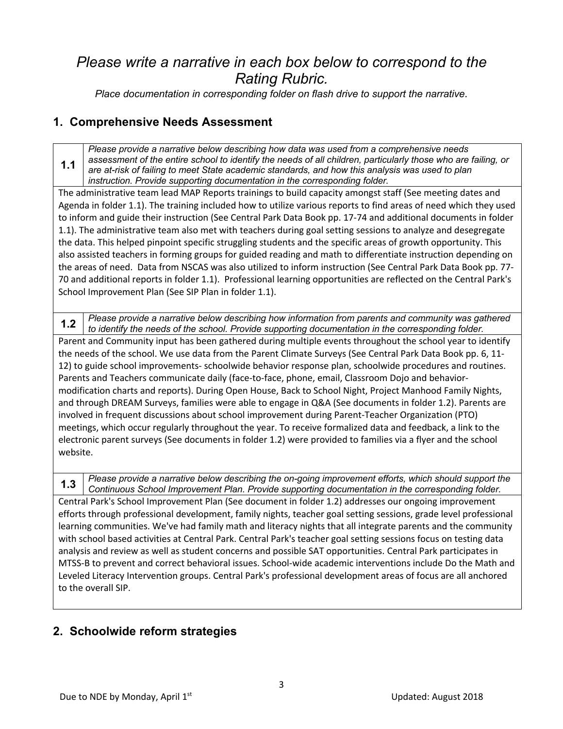## *Please write a narrative in each box below to correspond to the Rating Rubric.*<br>*Place documentation in corresponding folder on flash drive to support the narrative.*

#### **1. Comprehensive Needs Assessment**

**1.1** *Please provide a narrative below describing how data was used from a comprehensive needs assessment of the entire school to identify the needs of all children, particularly those who are failing, or are at-risk of failing to meet State academic standards, and how this analysis was used to plan instruction. Provide supporting documentation in the corresponding folder.*

The administrative team lead MAP Reports trainings to build capacity amongst staff (See meeting dates and Agenda in folder 1.1). The training included how to utilize various reports to find areas of need which they used to inform and guide their instruction (See Central Park Data Book pp. 17-74 and additional documents in folder 1.1). The administrative team also met with teachers during goal setting sessions to analyze and desegregate the data. This helped pinpoint specific struggling students and the specific areas of growth opportunity. This also assisted teachers in forming groups for guided reading and math to differentiate instruction depending on the areas of need. Data from NSCAS was also utilized to inform instruction (See Central Park Data Book pp. 77- 70 and additional reports in folder 1.1). Professional learning opportunities are reflected on the Central Park's School Improvement Plan (See SIP Plan in folder 1.1).

**1.2** *Please provide a narrative below describing how information from parents and community was gathered to identify the needs of the school. Provide supporting documentation in the corresponding folder.* Parent and Community input has been gathered during multiple events throughout the school year to identify the needs of the school. We use data from the Parent Climate Surveys (See Central Park Data Book pp. 6, 11- 12) to guide school improvements- schoolwide behavior response plan, schoolwide procedures and routines. Parents and Teachers communicate daily (face-to-face, phone, email, Classroom Dojo and behaviormodification charts and reports). During Open House, Back to School Night, Project Manhood Family Nights, and through DREAM Surveys, families were able to engage in Q&A (See documents in folder 1.2). Parents are involved in frequent discussions about school improvement during Parent-Teacher Organization (PTO) meetings, which occur regularly throughout the year. To receive formalized data and feedback, a link to the electronic parent surveys (See documents in folder 1.2) were provided to families via a flyer and the school website.

**1.3** *Please provide a narrative below describing the on-going improvement efforts, which should support the Continuous School Improvement Plan. Provide supporting documentation in the corresponding folder.* Central Park's School Improvement Plan (See document in folder 1.2) addresses our ongoing improvement efforts through professional development, family nights, teacher goal setting sessions, grade level professional learning communities. We've had family math and literacy nights that all integrate parents and the community with school based activities at Central Park. Central Park's teacher goal setting sessions focus on testing data analysis and review as well as student concerns and possible SAT opportunities. Central Park participates in MTSS-B to prevent and correct behavioral issues. School-wide academic interventions include Do the Math and Leveled Literacy Intervention groups. Central Park's professional development areas of focus are all anchored to the overall SIP.

#### **2. Schoolwide reform strategies**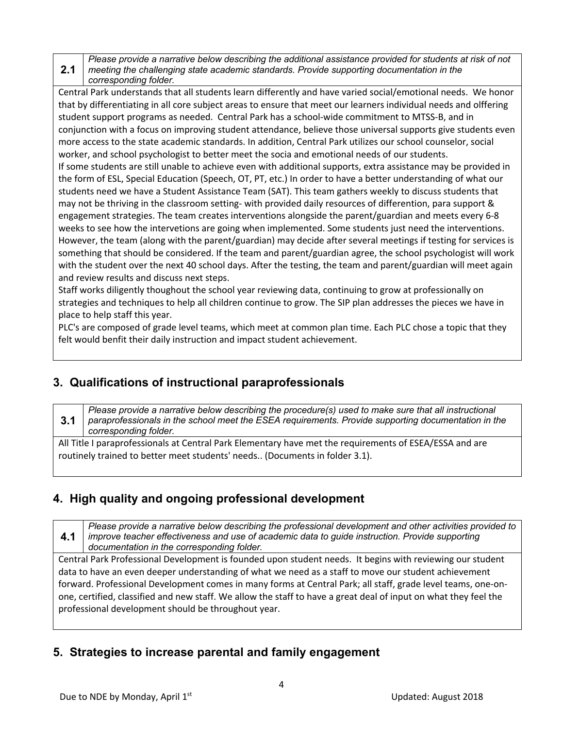**2.1** *Please provide a narrative below describing the additional assistance provided for students at risk of not meeting the challenging state academic standards. Provide supporting documentation in the corresponding folder.*

Central Park understands that all students learn differently and have varied social/emotional needs. We honor that by differentiating in all core subject areas to ensure that meet our learners individual needs and olffering student support programs as needed. Central Park has a school-wide commitment to MTSS-B, and in conjunction with a focus on improving student attendance, believe those universal supports give students even more access to the state academic standards. In addition, Central Park utilizes our school counselor, social worker, and school psychologist to better meet the socia and emotional needs of our students. If some students are still unable to achieve even with additional supports, extra assistance may be provided in the form of ESL, Special Education (Speech, OT, PT, etc.) In order to have a better understanding of what our students need we have a Student Assistance Team (SAT). This team gathers weekly to discuss students that may not be thriving in the classroom setting- with provided daily resources of differention, para support & engagement strategies. The team creates interventions alongside the parent/guardian and meets every 6-8 weeks to see how the intervetions are going when implemented. Some students just need the interventions. However, the team (along with the parent/guardian) may decide after several meetings if testing for services is

something that should be considered. If the team and parent/guardian agree, the school psychologist will work with the student over the next 40 school days. After the testing, the team and parent/guardian will meet again and review results and discuss next steps.

Staff works diligently thoughout the school year reviewing data, continuing to grow at professionally on strategies and techniques to help all children continue to grow. The SIP plan addresses the pieces we have in place to help staff this year.

PLC's are composed of grade level teams, which meet at common plan time. Each PLC chose a topic that they felt would benfit their daily instruction and impact student achievement.

### **3. Qualifications of instructional paraprofessionals**

**3.1** *Please provide a narrative below describing the procedure(s) used to make sure that all instructional paraprofessionals in the school meet the ESEA requirements. Provide supporting documentation in the corresponding folder.*

All Title I paraprofessionals at Central Park Elementary have met the requirements of ESEA/ESSA and are routinely trained to better meet students' needs.. (Documents in folder 3.1).

### **4. High quality and ongoing professional development**

**4.1** *Please provide a narrative below describing the professional development and other activities provided to improve teacher effectiveness and use of academic data to guide instruction. Provide supporting documentation in the corresponding folder.*

Central Park Professional Development is founded upon student needs. It begins with reviewing our student data to have an even deeper understanding of what we need as a staff to move our student achievement forward. Professional Development comes in many forms at Central Park; all staff, grade level teams, one-onone, certified, classified and new staff. We allow the staff to have a great deal of input on what they feel the professional development should be throughout year.

### **5. Strategies to increase parental and family engagement**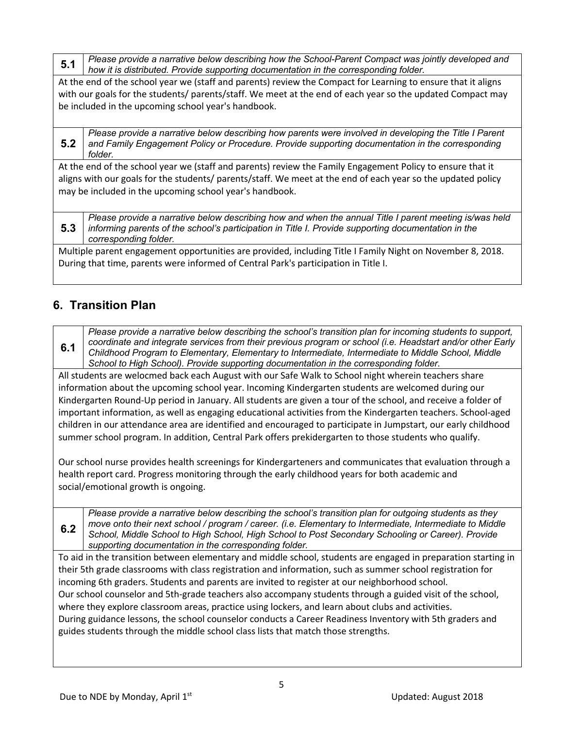**5.1** *Please provide a narrative below describing how the School-Parent Compact was jointly developed and how it is distributed. Provide supporting documentation in the corresponding folder.*

At the end of the school year we (staff and parents) review the Compact for Learning to ensure that it aligns with our goals for the students/ parents/staff. We meet at the end of each year so the updated Compact may be included in the upcoming school year's handbook.

**5.2** *Please provide a narrative below describing how parents were involved in developing the Title I Parent and Family Engagement Policy or Procedure. Provide supporting documentation in the corresponding folder.*

At the end of the school year we (staff and parents) review the Family Engagement Policy to ensure that it aligns with our goals for the students/ parents/staff. We meet at the end of each year so the updated policy may be included in the upcoming school year's handbook.

**5.3** *Please provide a narrative below describing how and when the annual Title I parent meeting is/was held informing parents of the school's participation in Title I. Provide supporting documentation in the corresponding folder.*

Multiple parent engagement opportunities are provided, including Title I Family Night on November 8, 2018. During that time, parents were informed of Central Park's participation in Title I.

### **6. Transition Plan**

**6.1** *Please provide a narrative below describing the school's transition plan for incoming students to support, coordinate and integrate services from their previous program or school (i.e. Headstart and/or other Early Childhood Program to Elementary, Elementary to Intermediate, Intermediate to Middle School, Middle School to High School). Provide supporting documentation in the corresponding folder.*

All students are welocmed back each August with our Safe Walk to School night wherein teachers share information about the upcoming school year. Incoming Kindergarten students are welcomed during our Kindergarten Round-Up period in January. All students are given a tour of the school, and receive a folder of important information, as well as engaging educational activities from the Kindergarten teachers. School-aged children in our attendance area are identified and encouraged to participate in Jumpstart, our early childhood summer school program. In addition, Central Park offers prekidergarten to those students who qualify.

Our school nurse provides health screenings for Kindergarteners and communicates that evaluation through a health report card. Progress monitoring through the early childhood years for both academic and social/emotional growth is ongoing.

**6.2** *Please provide a narrative below describing the school's transition plan for outgoing students as they move onto their next school / program / career. (i.e. Elementary to Intermediate, Intermediate to Middle School, Middle School to High School, High School to Post Secondary Schooling or Career). Provide supporting documentation in the corresponding folder.*

To aid in the transition between elementary and middle school, students are engaged in preparation starting in their 5th grade classrooms with class registration and information, such as summer school registration for incoming 6th graders. Students and parents are invited to register at our neighborhood school. Our school counselor and 5th-grade teachers also accompany students through a guided visit of the school, where they explore classroom areas, practice using lockers, and learn about clubs and activities. During guidance lessons, the school counselor conducts a Career Readiness Inventory with 5th graders and guides students through the middle school class lists that match those strengths.